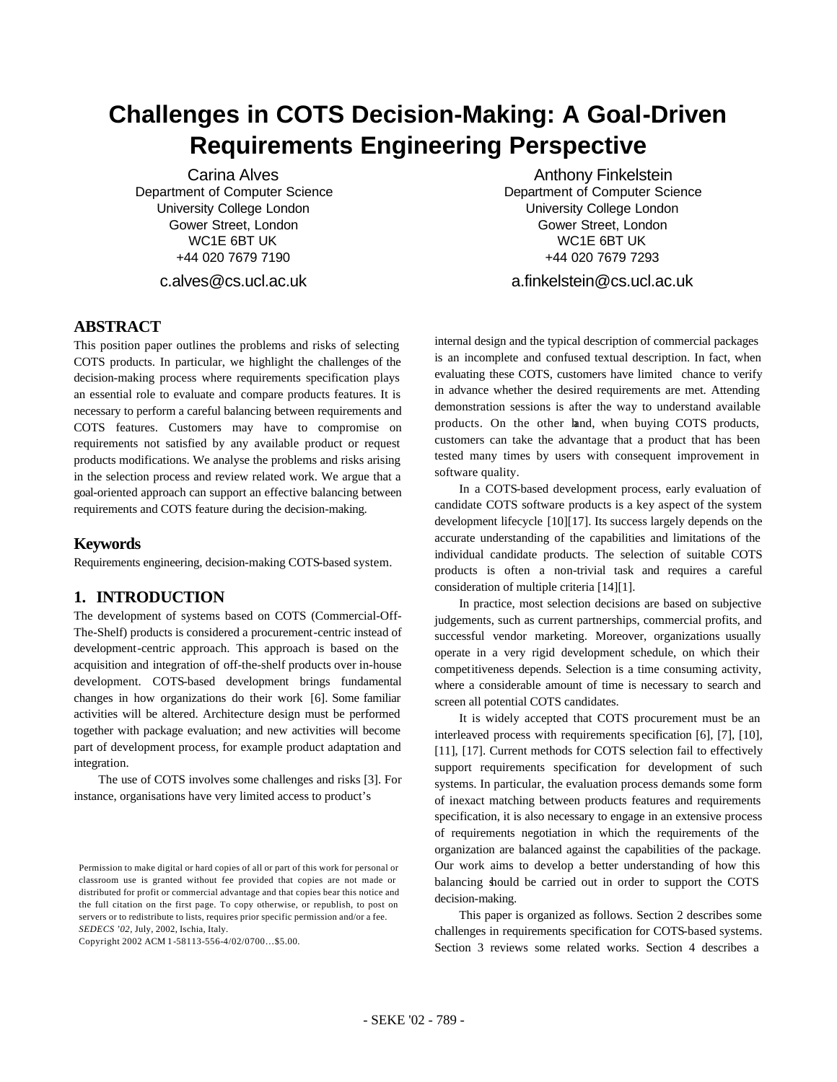# **Challenges in COTS Decision-Making: A Goal-Driven Requirements Engineering Perspective**

Carina Alves Department of Computer Science University College London Gower Street, London WC1E 6BT UK +44 020 7679 7190

c.alves@cs.ucl.ac.uk

### **ABSTRACT**

This position paper outlines the problems and risks of selecting COTS products. In particular, we highlight the challenges of the decision-making process where requirements specification plays an essential role to evaluate and compare products features. It is necessary to perform a careful balancing between requirements and COTS features. Customers may have to compromise on requirements not satisfied by any available product or request products modifications. We analyse the problems and risks arising in the selection process and review related work. We argue that a goal-oriented approach can support an effective balancing between requirements and COTS feature during the decision-making.

#### **Keywords**

Requirements engineering, decision-making COTS-based system.

### **1. INTRODUCTION**

The development of systems based on COTS (Commercial-Off-The-Shelf) products is considered a procurement-centric instead of development-centric approach. This approach is based on the acquisition and integration of off-the-shelf products over in-house development. COTS-based development brings fundamental changes in how organizations do their work [6]. Some familiar activities will be altered. Architecture design must be performed together with package evaluation; and new activities will become part of development process, for example product adaptation and integration.

The use of COTS involves some challenges and risks [3]. For instance, organisations have very limited access to product's

Copyright 2002 ACM 1-58113-556-4/02/0700…\$5.00.

Anthony Finkelstein Department of Computer Science University College London Gower Street, London WC1E 6BT UK +44 020 7679 7293

a.finkelstein@cs.ucl.ac.uk

internal design and the typical description of commercial packages is an incomplete and confused textual description. In fact, when evaluating these COTS, customers have limited chance to verify in advance whether the desired requirements are met. Attending demonstration sessions is after the way to understand available products. On the other hand, when buying COTS products, customers can take the advantage that a product that has been tested many times by users with consequent improvement in software quality.

In a COTS-based development process, early evaluation of candidate COTS software products is a key aspect of the system development lifecycle [10][17]. Its success largely depends on the accurate understanding of the capabilities and limitations of the individual candidate products. The selection of suitable COTS products is often a non-trivial task and requires a careful consideration of multiple criteria [14][1].

In practice, most selection decisions are based on subjective judgements, such as current partnerships, commercial profits, and successful vendor marketing. Moreover, organizations usually operate in a very rigid development schedule, on which their competitiveness depends. Selection is a time consuming activity, where a considerable amount of time is necessary to search and screen all potential COTS candidates.

It is widely accepted that COTS procurement must be an interleaved process with requirements specification [6], [7], [10], [11], [17]. Current methods for COTS selection fail to effectively support requirements specification for development of such systems. In particular, the evaluation process demands some form of inexact matching between products features and requirements specification, it is also necessary to engage in an extensive process of requirements negotiation in which the requirements of the organization are balanced against the capabilities of the package. Our work aims to develop a better understanding of how this balancing should be carried out in order to support the COTS decision-making.

This paper is organized as follows. Section 2 describes some challenges in requirements specification for COTS-based systems. Section 3 reviews some related works. Section 4 describes a

Permission to make digital or hard copies of all or part of this work for personal or classroom use is granted without fee provided that copies are not made or distributed for profit or commercial advantage and that copies bear this notice and the full citation on the first page. To copy otherwise, or republish, to post on servers or to redistribute to lists, requires prior specific permission and/or a fee. *SEDECS '02*, July, 2002, Ischia, Italy.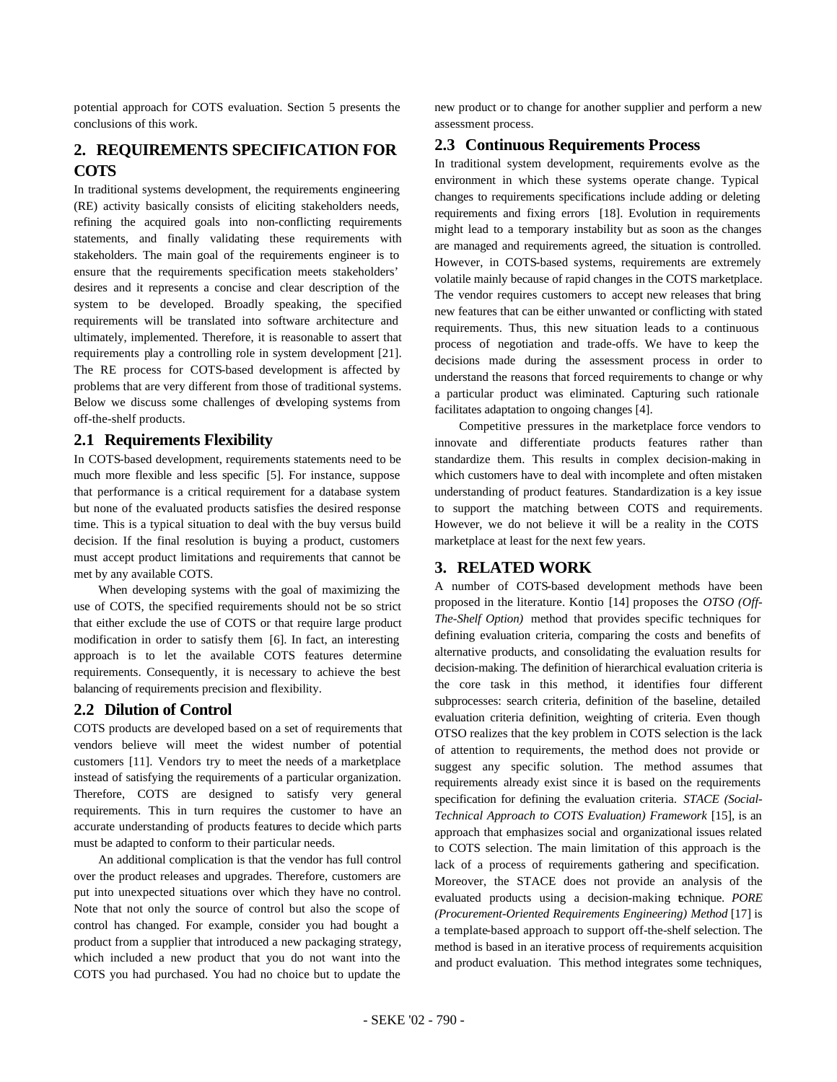potential approach for COTS evaluation. Section 5 presents the conclusions of this work.

# **2. REQUIREMENTS SPECIFICATION FOR COTS**

In traditional systems development, the requirements engineering (RE) activity basically consists of eliciting stakeholders needs, refining the acquired goals into non-conflicting requirements statements, and finally validating these requirements with stakeholders. The main goal of the requirements engineer is to ensure that the requirements specification meets stakeholders' desires and it represents a concise and clear description of the system to be developed. Broadly speaking, the specified requirements will be translated into software architecture and ultimately, implemented. Therefore, it is reasonable to assert that requirements play a controlling role in system development [21]. The RE process for COTS-based development is affected by problems that are very different from those of traditional systems. Below we discuss some challenges of developing systems from off-the-shelf products.

## **2.1 Requirements Flexibility**

In COTS-based development, requirements statements need to be much more flexible and less specific [5]. For instance, suppose that performance is a critical requirement for a database system but none of the evaluated products satisfies the desired response time. This is a typical situation to deal with the buy versus build decision. If the final resolution is buying a product, customers must accept product limitations and requirements that cannot be met by any available COTS.

When developing systems with the goal of maximizing the use of COTS, the specified requirements should not be so strict that either exclude the use of COTS or that require large product modification in order to satisfy them [6]. In fact, an interesting approach is to let the available COTS features determine requirements. Consequently, it is necessary to achieve the best balancing of requirements precision and flexibility.

### **2.2 Dilution of Control**

COTS products are developed based on a set of requirements that vendors believe will meet the widest number of potential customers [11]. Vendors try to meet the needs of a marketplace instead of satisfying the requirements of a particular organization. Therefore, COTS are designed to satisfy very general requirements. This in turn requires the customer to have an accurate understanding of products features to decide which parts must be adapted to conform to their particular needs.

An additional complication is that the vendor has full control over the product releases and upgrades. Therefore, customers are put into unexpected situations over which they have no control. Note that not only the source of control but also the scope of control has changed. For example, consider you had bought a product from a supplier that introduced a new packaging strategy, which included a new product that you do not want into the COTS you had purchased. You had no choice but to update the

new product or to change for another supplier and perform a new assessment process.

## **2.3 Continuous Requirements Process**

In traditional system development, requirements evolve as the environment in which these systems operate change. Typical changes to requirements specifications include adding or deleting requirements and fixing errors [18]. Evolution in requirements might lead to a temporary instability but as soon as the changes are managed and requirements agreed, the situation is controlled. However, in COTS-based systems, requirements are extremely volatile mainly because of rapid changes in the COTS marketplace. The vendor requires customers to accept new releases that bring new features that can be either unwanted or conflicting with stated requirements. Thus, this new situation leads to a continuous process of negotiation and trade-offs. We have to keep the decisions made during the assessment process in order to understand the reasons that forced requirements to change or why a particular product was eliminated. Capturing such rationale facilitates adaptation to ongoing changes [4].

Competitive pressures in the marketplace force vendors to innovate and differentiate products features rather than standardize them. This results in complex decision-making in which customers have to deal with incomplete and often mistaken understanding of product features. Standardization is a key issue to support the matching between COTS and requirements. However, we do not believe it will be a reality in the COTS marketplace at least for the next few years.

## **3. RELATED WORK**

A number of COTS-based development methods have been proposed in the literature. Kontio [14] proposes the *OTSO (Off-The-Shelf Option)* method that provides specific techniques for defining evaluation criteria, comparing the costs and benefits of alternative products, and consolidating the evaluation results for decision-making. The definition of hierarchical evaluation criteria is the core task in this method, it identifies four different subprocesses: search criteria, definition of the baseline, detailed evaluation criteria definition, weighting of criteria. Even though OTSO realizes that the key problem in COTS selection is the lack of attention to requirements, the method does not provide or suggest any specific solution. The method assumes that requirements already exist since it is based on the requirements specification for defining the evaluation criteria. *STACE (Social-Technical Approach to COTS Evaluation) Framework* [15]*,* is an approach that emphasizes social and organizational issues related to COTS selection. The main limitation of this approach is the lack of a process of requirements gathering and specification. Moreover, the STACE does not provide an analysis of the evaluated products using a decision-making technique. *PORE (Procurement-Oriented Requirements Engineering) Method* [17] is a template-based approach to support off-the-shelf selection. The method is based in an iterative process of requirements acquisition and product evaluation. This method integrates some techniques,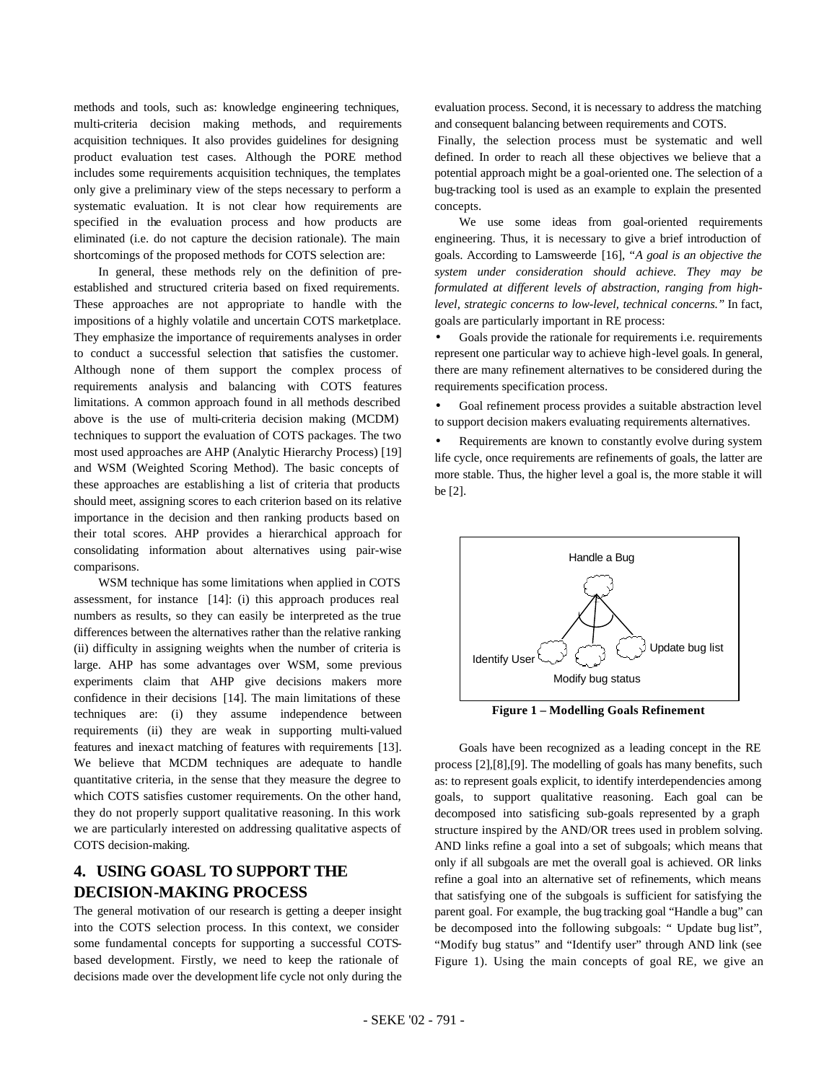methods and tools, such as: knowledge engineering techniques, multi-criteria decision making methods, and requirements acquisition techniques. It also provides guidelines for designing product evaluation test cases. Although the PORE method includes some requirements acquisition techniques, the templates only give a preliminary view of the steps necessary to perform a systematic evaluation. It is not clear how requirements are specified in the evaluation process and how products are eliminated (i.e. do not capture the decision rationale). The main shortcomings of the proposed methods for COTS selection are:

In general, these methods rely on the definition of preestablished and structured criteria based on fixed requirements. These approaches are not appropriate to handle with the impositions of a highly volatile and uncertain COTS marketplace. They emphasize the importance of requirements analyses in order to conduct a successful selection that satisfies the customer. Although none of them support the complex process of requirements analysis and balancing with COTS features limitations. A common approach found in all methods described above is the use of multi-criteria decision making (MCDM) techniques to support the evaluation of COTS packages. The two most used approaches are AHP (Analytic Hierarchy Process) [19] and WSM (Weighted Scoring Method). The basic concepts of these approaches are establishing a list of criteria that products should meet, assigning scores to each criterion based on its relative importance in the decision and then ranking products based on their total scores. AHP provides a hierarchical approach for consolidating information about alternatives using pair-wise comparisons.

WSM technique has some limitations when applied in COTS assessment, for instance [14]: (i) this approach produces real numbers as results, so they can easily be interpreted as the true differences between the alternatives rather than the relative ranking (ii) difficulty in assigning weights when the number of criteria is large. AHP has some advantages over WSM, some previous experiments claim that AHP give decisions makers more confidence in their decisions [14]. The main limitations of these techniques are: (i) they assume independence between requirements (ii) they are weak in supporting multi-valued features and inexact matching of features with requirements [13]. We believe that MCDM techniques are adequate to handle quantitative criteria, in the sense that they measure the degree to which COTS satisfies customer requirements. On the other hand, they do not properly support qualitative reasoning. In this work we are particularly interested on addressing qualitative aspects of COTS decision-making.

# **4. USING GOASL TO SUPPORT THE DECISION-MAKING PROCESS**

The general motivation of our research is getting a deeper insight into the COTS selection process. In this context, we consider some fundamental concepts for supporting a successful COTSbased development. Firstly, we need to keep the rationale of decisions made over the development life cycle not only during the evaluation process. Second, it is necessary to address the matching and consequent balancing between requirements and COTS.

 Finally, the selection process must be systematic and well defined. In order to reach all these objectives we believe that a potential approach might be a goal-oriented one. The selection of a bug-tracking tool is used as an example to explain the presented concepts.

We use some ideas from goal-oriented requirements engineering. Thus, it is necessary to give a brief introduction of goals. According to Lamsweerde [16], "*A goal is an objective the system under consideration should achieve. They may be formulated at different levels of abstraction, ranging from highlevel, strategic concerns to low-level, technical concerns."* In fact, goals are particularly important in RE process:

Goals provide the rationale for requirements i.e. requirements represent one particular way to achieve high-level goals. In general, there are many refinement alternatives to be considered during the requirements specification process.

• Goal refinement process provides a suitable abstraction level to support decision makers evaluating requirements alternatives.

Requirements are known to constantly evolve during system life cycle, once requirements are refinements of goals, the latter are more stable. Thus, the higher level a goal is, the more stable it will be [2].



**Figure 1 – Modelling Goals Refinement**

Goals have been recognized as a leading concept in the RE process [2],[8],[9]. The modelling of goals has many benefits, such as: to represent goals explicit, to identify interdependencies among goals, to support qualitative reasoning. Each goal can be decomposed into satisficing sub-goals represented by a graph structure inspired by the AND/OR trees used in problem solving. AND links refine a goal into a set of subgoals; which means that only if all subgoals are met the overall goal is achieved. OR links refine a goal into an alternative set of refinements, which means that satisfying one of the subgoals is sufficient for satisfying the parent goal. For example, the bug tracking goal "Handle a bug" can be decomposed into the following subgoals: " Update bug list", "Modify bug status" and "Identify user" through AND link (see Figure 1). Using the main concepts of goal RE, we give an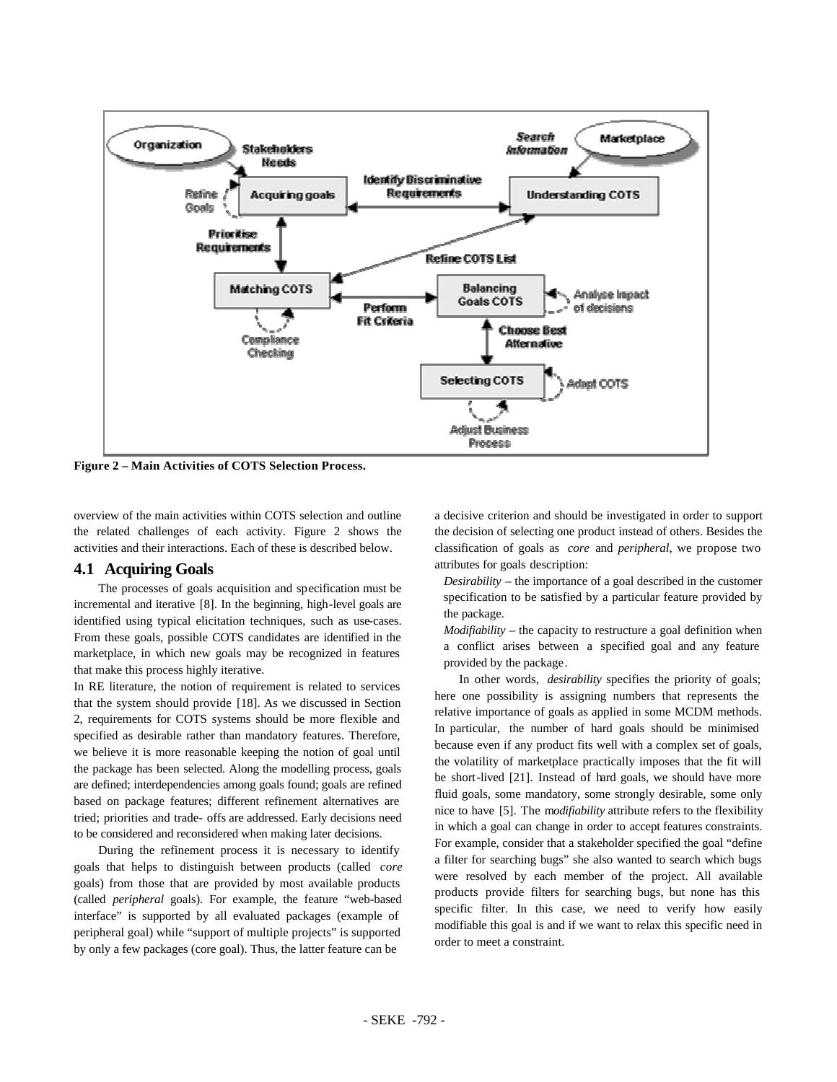

**Figure 2 – Main Activities of COTS Selection Process.**

overview of the main activities within COTS selection and outline the related challenges of each activity. Figure 2 shows the activities and their interactions. Each of these is described below.

### **4.1 Acquiring Goals**

The processes of goals acquisition and specification must be incremental and iterative [8]. In the beginning, high-level goals are identified using typical elicitation techniques, such as use-cases. From these goals, possible COTS candidates are identified in the marketplace, in which new goals may be recognized in features that make this process highly iterative.

In RE literature, the notion of requirement is related to services that the system should provide [18]. As we discussed in Section 2, requirements for COTS systems should be more flexible and specified as desirable rather than mandatory features. Therefore, we believe it is more reasonable keeping the notion of goal until the package has been selected. Along the modelling process, goals are defined; interdependencies among goals found; goals are refined based on package features; different refinement alternatives are tried; priorities and trade- offs are addressed. Early decisions need to be considered and reconsidered when making later decisions.

During the refinement process it is necessary to identify goals that helps to distinguish between products (called *core* goals) from those that are provided by most available products (called *peripheral* goals). For example, the feature "web-based interface" is supported by all evaluated packages (example of peripheral goal) while "support of multiple projects" is supported by only a few packages (core goal). Thus, the latter feature can be

a decisive criterion and should be investigated in order to support the decision of selecting one product instead of others. Besides the classification of goals as *core* and *peripheral*, we propose two attributes for goals description:

*Desirability* – the importance of a goal described in the customer specification to be satisfied by a particular feature provided by the package.

*Modifiability* – the capacity to restructure a goal definition when a conflict arises between a specified goal and any feature provided by the package.

In other words, *desirability* specifies the priority of goals; here one possibility is assigning numbers that represents the relative importance of goals as applied in some MCDM methods. In particular, the number of hard goals should be minimised because even if any product fits well with a complex set of goals, the volatility of marketplace practically imposes that the fit will be short-lived [21]. Instead of hard goals, we should have more fluid goals, some mandatory, some strongly desirable, some only nice to have [5]. The m*odifiability* attribute refers to the flexibility in which a goal can change in order to accept features constraints. For example, consider that a stakeholder specified the goal "define a filter for searching bugs" she also wanted to search which bugs were resolved by each member of the project. All available products provide filters for searching bugs, but none has this specific filter. In this case, we need to verify how easily modifiable this goal is and if we want to relax this specific need in order to meet a constraint.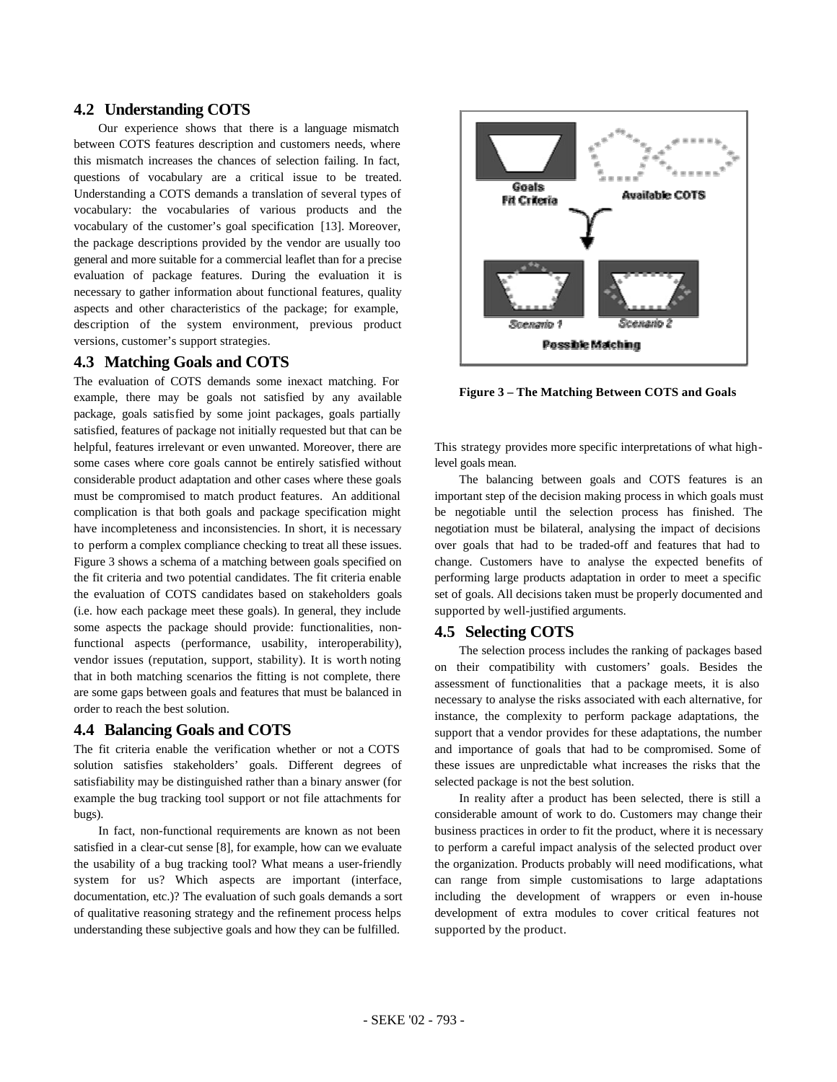### **4.2 Understanding COTS**

Our experience shows that there is a language mismatch between COTS features description and customers needs, where this mismatch increases the chances of selection failing. In fact, questions of vocabulary are a critical issue to be treated. Understanding a COTS demands a translation of several types of vocabulary: the vocabularies of various products and the vocabulary of the customer's goal specification [13]. Moreover, the package descriptions provided by the vendor are usually too general and more suitable for a commercial leaflet than for a precise evaluation of package features. During the evaluation it is necessary to gather information about functional features, quality aspects and other characteristics of the package; for example, description of the system environment, previous product versions, customer's support strategies.

### **4.3 Matching Goals and COTS**

The evaluation of COTS demands some inexact matching. For example, there may be goals not satisfied by any available package, goals satisfied by some joint packages, goals partially satisfied, features of package not initially requested but that can be helpful, features irrelevant or even unwanted. Moreover, there are some cases where core goals cannot be entirely satisfied without considerable product adaptation and other cases where these goals must be compromised to match product features. An additional complication is that both goals and package specification might have incompleteness and inconsistencies. In short, it is necessary to perform a complex compliance checking to treat all these issues. Figure 3 shows a schema of a matching between goals specified on the fit criteria and two potential candidates. The fit criteria enable the evaluation of COTS candidates based on stakeholders goals (i.e. how each package meet these goals). In general, they include some aspects the package should provide: functionalities, nonfunctional aspects (performance, usability, interoperability), vendor issues (reputation, support, stability). It is worth noting that in both matching scenarios the fitting is not complete, there are some gaps between goals and features that must be balanced in order to reach the best solution.

### **4.4 Balancing Goals and COTS**

The fit criteria enable the verification whether or not a COTS solution satisfies stakeholders' goals. Different degrees of satisfiability may be distinguished rather than a binary answer (for example the bug tracking tool support or not file attachments for bugs).

In fact, non-functional requirements are known as not been satisfied in a clear-cut sense [8], for example, how can we evaluate the usability of a bug tracking tool? What means a user-friendly system for us? Which aspects are important (interface, documentation, etc.)? The evaluation of such goals demands a sort of qualitative reasoning strategy and the refinement process helps understanding these subjective goals and how they can be fulfilled.



**Figure 3 – The Matching Between COTS and Goals**

This strategy provides more specific interpretations of what highlevel goals mean.

The balancing between goals and COTS features is an important step of the decision making process in which goals must be negotiable until the selection process has finished. The negotiation must be bilateral, analysing the impact of decisions over goals that had to be traded-off and features that had to change. Customers have to analyse the expected benefits of performing large products adaptation in order to meet a specific set of goals. All decisions taken must be properly documented and supported by well-justified arguments.

### **4.5 Selecting COTS**

The selection process includes the ranking of packages based on their compatibility with customers' goals. Besides the assessment of functionalities that a package meets, it is also necessary to analyse the risks associated with each alternative, for instance, the complexity to perform package adaptations, the support that a vendor provides for these adaptations, the number and importance of goals that had to be compromised. Some of these issues are unpredictable what increases the risks that the selected package is not the best solution.

In reality after a product has been selected, there is still a considerable amount of work to do. Customers may change their business practices in order to fit the product, where it is necessary to perform a careful impact analysis of the selected product over the organization. Products probably will need modifications, what can range from simple customisations to large adaptations including the development of wrappers or even in-house development of extra modules to cover critical features not supported by the product.